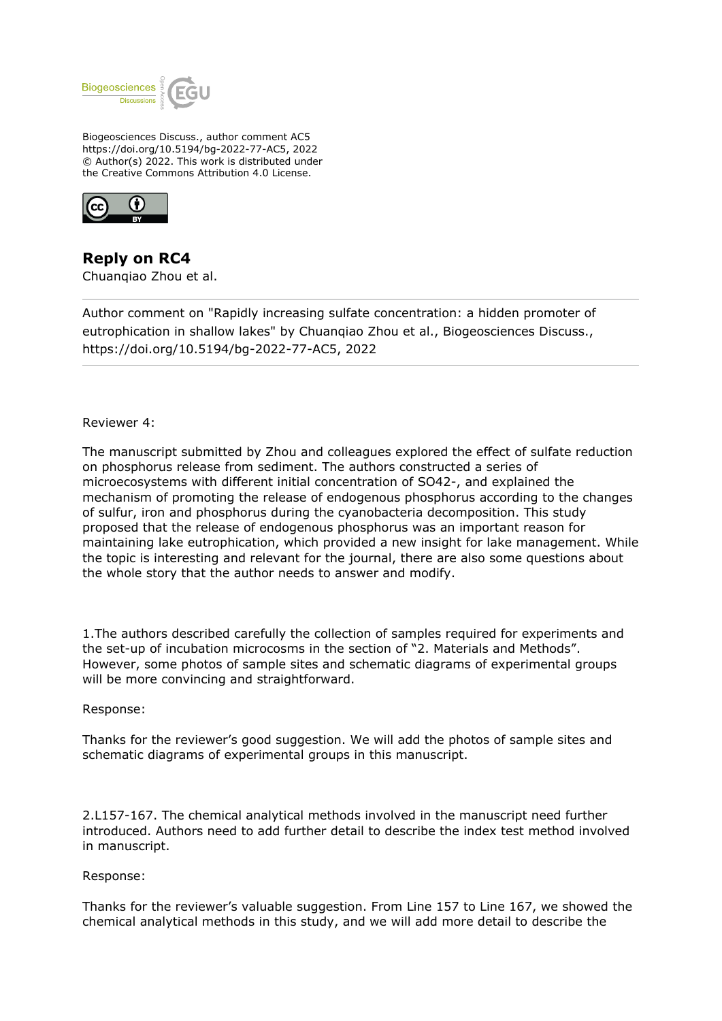

Biogeosciences Discuss., author comment AC5 https://doi.org/10.5194/bg-2022-77-AC5, 2022 © Author(s) 2022. This work is distributed under the Creative Commons Attribution 4.0 License.



**Reply on RC4** Chuanqiao Zhou et al.

Author comment on "Rapidly increasing sulfate concentration: a hidden promoter of eutrophication in shallow lakes" by Chuanqiao Zhou et al., Biogeosciences Discuss., https://doi.org/10.5194/bg-2022-77-AC5, 2022

### Reviewer 4:

The manuscript submitted by Zhou and colleagues explored the effect of sulfate reduction on phosphorus release from sediment. The authors constructed a series of microecosystems with different initial concentration of SO42-, and explained the mechanism of promoting the release of endogenous phosphorus according to the changes of sulfur, iron and phosphorus during the cyanobacteria decomposition. This study proposed that the release of endogenous phosphorus was an important reason for maintaining lake eutrophication, which provided a new insight for lake management. While the topic is interesting and relevant for the journal, there are also some questions about the whole story that the author needs to answer and modify.

1.The authors described carefully the collection of samples required for experiments and the set-up of incubation microcosms in the section of "2. Materials and Methods". However, some photos of sample sites and schematic diagrams of experimental groups will be more convincing and straightforward.

#### Response:

Thanks for the reviewer's good suggestion. We will add the photos of sample sites and schematic diagrams of experimental groups in this manuscript.

2.L157-167. The chemical analytical methods involved in the manuscript need further introduced. Authors need to add further detail to describe the index test method involved in manuscript.

#### Response:

Thanks for the reviewer's valuable suggestion. From Line 157 to Line 167, we showed the chemical analytical methods in this study, and we will add more detail to describe the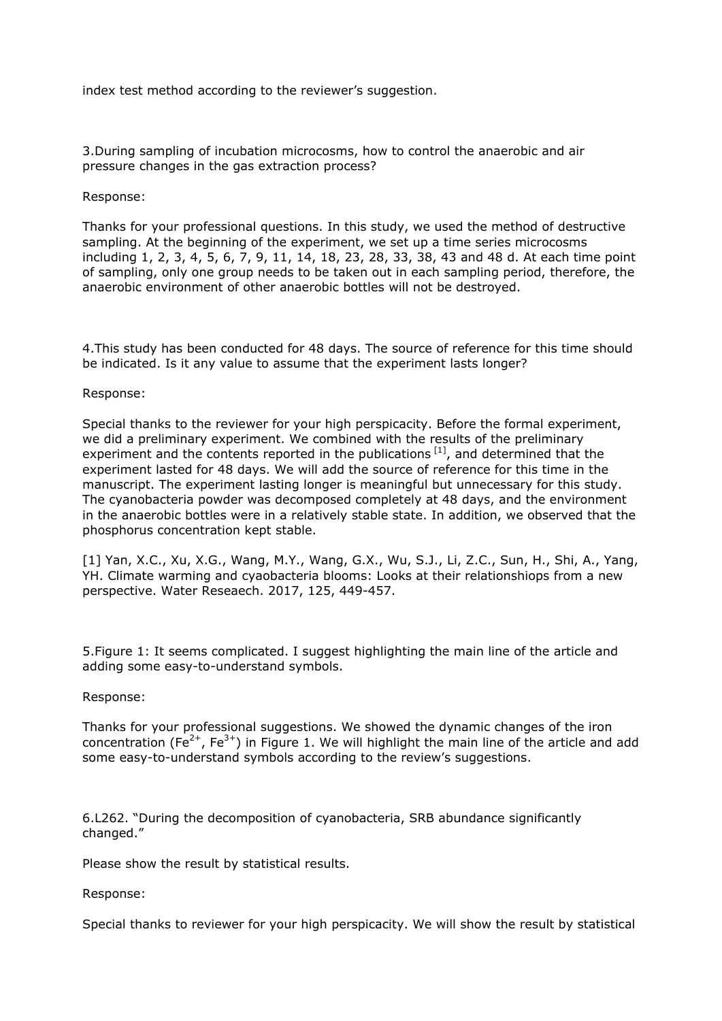index test method according to the reviewer's suggestion.

3.During sampling of incubation microcosms, how to control the anaerobic and air pressure changes in the gas extraction process?

# Response:

Thanks for your professional questions. In this study, we used the method of destructive sampling. At the beginning of the experiment, we set up a time series microcosms including 1, 2, 3, 4, 5, 6, 7, 9, 11, 14, 18, 23, 28, 33, 38, 43 and 48 d. At each time point of sampling, only one group needs to be taken out in each sampling period, therefore, the anaerobic environment of other anaerobic bottles will not be destroyed.

4.This study has been conducted for 48 days. The source of reference for this time should be indicated. Is it any value to assume that the experiment lasts longer?

Response:

Special thanks to the reviewer for your high perspicacity. Before the formal experiment, we did a preliminary experiment. We combined with the results of the preliminary experiment and the contents reported in the publications  $[1]$ , and determined that the experiment lasted for 48 days. We will add the source of reference for this time in the manuscript. The experiment lasting longer is meaningful but unnecessary for this study. The cyanobacteria powder was decomposed completely at 48 days, and the environment in the anaerobic bottles were in a relatively stable state. In addition, we observed that the phosphorus concentration kept stable.

[1] Yan, X.C., Xu, X.G., Wang, M.Y., Wang, G.X., Wu, S.J., Li, Z.C., Sun, H., Shi, A., Yang, YH. Climate warming and cyaobacteria blooms: Looks at their relationshiops from a new perspective. Water Reseaech. 2017, 125, 449-457.

5.Figure 1: It seems complicated. I suggest highlighting the main line of the article and adding some easy-to-understand symbols.

#### Response:

Thanks for your professional suggestions. We showed the dynamic changes of the iron concentration (Fe<sup>2+</sup>, Fe<sup>3+</sup>) in Figure 1. We will highlight the main line of the article and add some easy-to-understand symbols according to the review's suggestions.

6.L262. "During the decomposition of cyanobacteria, SRB abundance significantly changed."

Please show the result by statistical results.

Response:

Special thanks to reviewer for your high perspicacity. We will show the result by statistical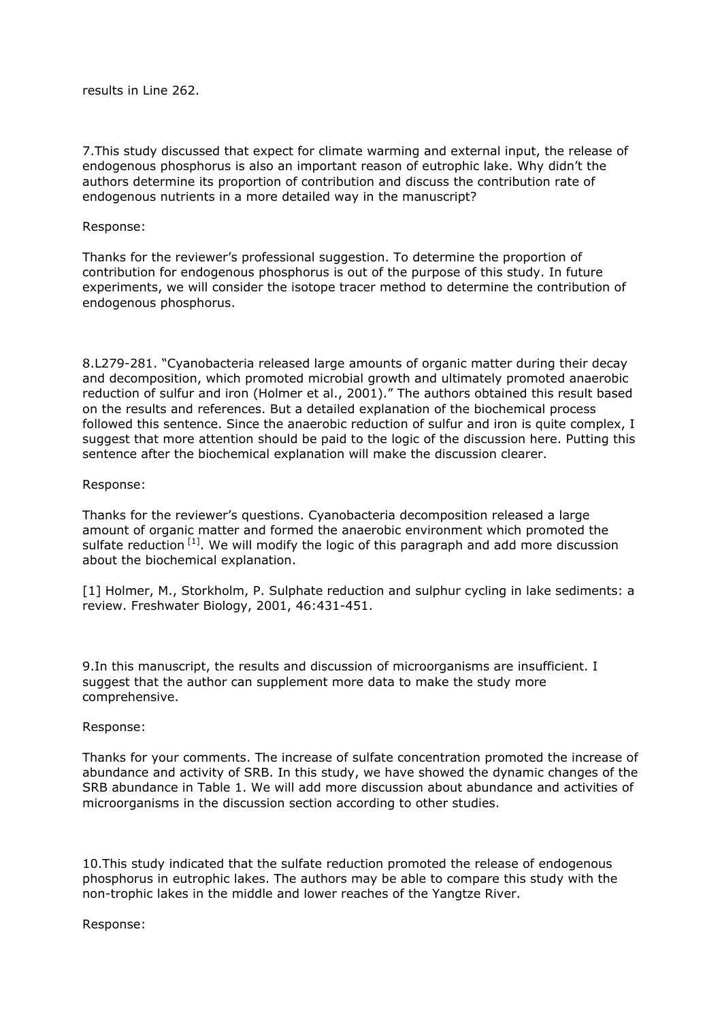results in Line 262.

7.This study discussed that expect for climate warming and external input, the release of endogenous phosphorus is also an important reason of eutrophic lake. Why didn't the authors determine its proportion of contribution and discuss the contribution rate of endogenous nutrients in a more detailed way in the manuscript?

# Response:

Thanks for the reviewer's professional suggestion. To determine the proportion of contribution for endogenous phosphorus is out of the purpose of this study. In future experiments, we will consider the isotope tracer method to determine the contribution of endogenous phosphorus.

8.L279-281. "Cyanobacteria released large amounts of organic matter during their decay and decomposition, which promoted microbial growth and ultimately promoted anaerobic reduction of sulfur and iron (Holmer et al., 2001)." The authors obtained this result based on the results and references. But a detailed explanation of the biochemical process followed this sentence. Since the anaerobic reduction of sulfur and iron is quite complex, I suggest that more attention should be paid to the logic of the discussion here. Putting this sentence after the biochemical explanation will make the discussion clearer.

### Response:

Thanks for the reviewer's questions. Cyanobacteria decomposition released a large amount of organic matter and formed the anaerobic environment which promoted the sulfate reduction  $[1]$ . We will modify the logic of this paragraph and add more discussion about the biochemical explanation.

[1] Holmer, M., Storkholm, P. Sulphate reduction and sulphur cycling in lake sediments: a review. Freshwater Biology, 2001, 46:431-451.

9.In this manuscript, the results and discussion of microorganisms are insufficient. I suggest that the author can supplement more data to make the study more comprehensive.

# Response:

Thanks for your comments. The increase of sulfate concentration promoted the increase of abundance and activity of SRB. In this study, we have showed the dynamic changes of the SRB abundance in Table 1. We will add more discussion about abundance and activities of microorganisms in the discussion section according to other studies.

10.This study indicated that the sulfate reduction promoted the release of endogenous phosphorus in eutrophic lakes. The authors may be able to compare this study with the non-trophic lakes in the middle and lower reaches of the Yangtze River.

Response: